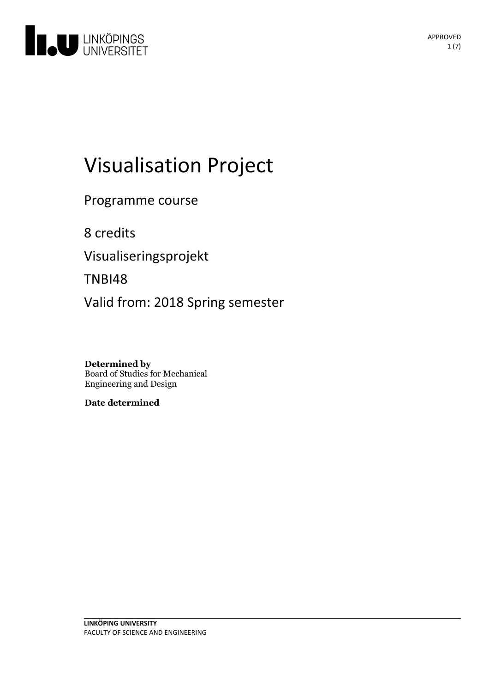

# Visualisation Project

Programme course

8 credits

Visualiseringsprojekt

TNBI48

Valid from: 2018 Spring semester

**Determined by** Board of Studies for Mechanical Engineering and Design

**Date determined**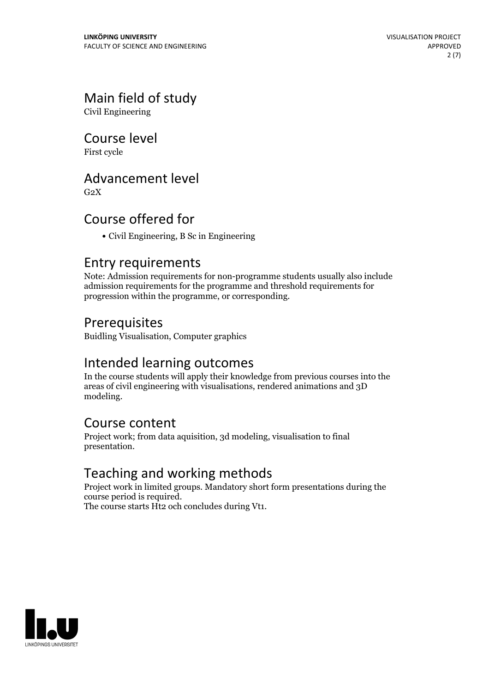# Main field of study

Civil Engineering

Course level

First cycle

### Advancement level

 $G<sub>2</sub>X$ 

# Course offered for

Civil Engineering, B Sc in Engineering

### Entry requirements

Note: Admission requirements for non-programme students usually also include admission requirements for the programme and threshold requirements for progression within the programme, or corresponding.

# Prerequisites

Buidling Visualisation, Computer graphics

### Intended learning outcomes

In the course students will apply their knowledge from previous courses into the areas of civil engineering with visualisations, rendered animations and 3D modeling.

### Course content

Project work; from data aquisition, 3d modeling, visualisation to final presentation.

# Teaching and working methods

Project work in limited groups. Mandatory short form presentations during the course period is required. The course starts Ht2 och concludes during Vt1.

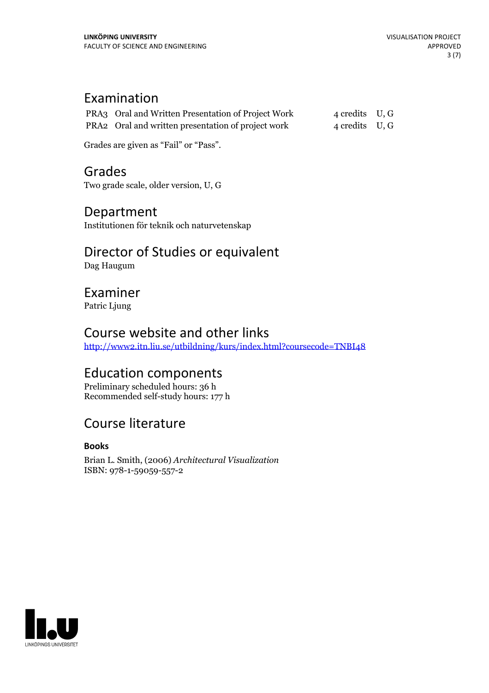# Examination

| PRA3 Oral and Written Presentation of Project Work | 4 credits U, G |  |
|----------------------------------------------------|----------------|--|
| PRA2 Oral and written presentation of project work | 4 credits U, G |  |

Grades are given as"Fail" or "Pass".

# Grades

Two grade scale, older version, U, G

# Department

Institutionen för teknik och naturvetenskap

# Director of Studies or equivalent

Dag Haugum

# Examiner

Patric Ljung

### Course website and other links

<http://www2.itn.liu.se/utbildning/kurs/index.html?coursecode=TNBI48>

### Education components

Preliminary scheduled hours: 36 h Recommended self-study hours: 177 h

# Course literature

### **Books**

Brian L. Smith, (2006) *Architectural Visualization* ISBN: 978-1-59059-557-2

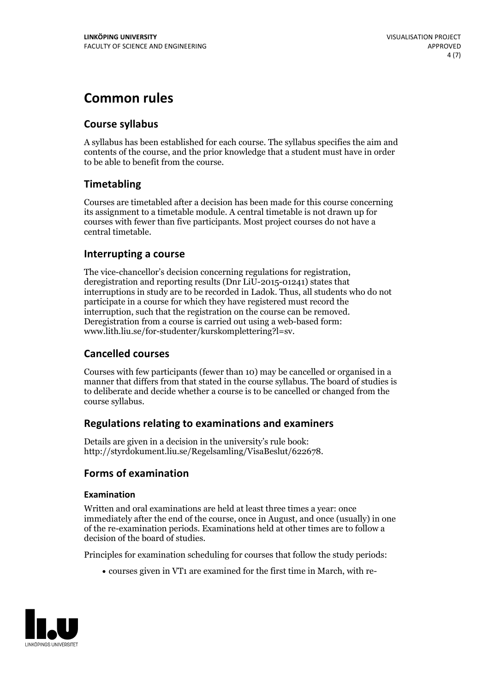# **Common rules**

### **Course syllabus**

A syllabus has been established for each course. The syllabus specifies the aim and contents of the course, and the prior knowledge that a student must have in order to be able to benefit from the course.

### **Timetabling**

Courses are timetabled after a decision has been made for this course concerning its assignment to a timetable module. A central timetable is not drawn up for courses with fewer than five participants. Most project courses do not have a central timetable.

### **Interrupting a course**

The vice-chancellor's decision concerning regulations for registration, deregistration and reporting results (Dnr LiU-2015-01241) states that interruptions in study are to be recorded in Ladok. Thus, all students who do not participate in a course for which they have registered must record the interruption, such that the registration on the course can be removed. Deregistration from <sup>a</sup> course is carried outusing <sup>a</sup> web-based form: www.lith.liu.se/for-studenter/kurskomplettering?l=sv.

### **Cancelled courses**

Courses with few participants (fewer than 10) may be cancelled or organised in a manner that differs from that stated in the course syllabus. The board of studies is to deliberate and decide whether a course is to be cancelled orchanged from the course syllabus.

### **Regulations relatingto examinations and examiners**

Details are given in a decision in the university's rule book: http://styrdokument.liu.se/Regelsamling/VisaBeslut/622678.

### **Forms of examination**

#### **Examination**

Written and oral examinations are held at least three times a year: once immediately after the end of the course, once in August, and once (usually) in one of the re-examination periods. Examinations held at other times are to follow a decision of the board of studies.

Principles for examination scheduling for courses that follow the study periods:

courses given in VT1 are examined for the first time in March, with re-

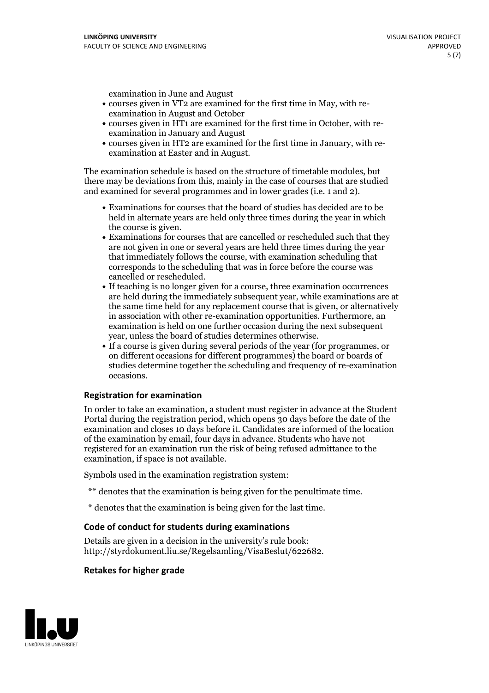examination in June and August

- courses given in VT2 are examined for the first time in May, with re-examination in August and October
- courses given in HT1 are examined for the first time in October, with re-examination in January and August
- courses given in HT2 are examined for the first time in January, with re-examination at Easter and in August.

The examination schedule is based on the structure of timetable modules, but there may be deviations from this, mainly in the case of courses that are studied and examined for several programmes and in lower grades (i.e. 1 and 2).

- Examinations for courses that the board of studies has decided are to be held in alternate years are held only three times during the year in which
- the course is given.<br>• Examinations for courses that are cancelled or rescheduled such that they are not given in one or several years are held three times during the year that immediately follows the course, with examination scheduling that corresponds to the scheduling that was in force before the course was cancelled or rescheduled.<br>• If teaching is no longer given for a course, three examination occurrences
- are held during the immediately subsequent year, while examinations are at the same time held for any replacement course that is given, or alternatively in association with other re-examination opportunities. Furthermore, an examination is held on one further occasion during the next subsequent year, unless the board of studies determines otherwise.<br>• If a course is given during several periods of the year (for programmes, or
- on different occasions for different programmes) the board orboards of studies determine together the scheduling and frequency of re-examination occasions.

#### **Registration for examination**

In order to take an examination, a student must register in advance at the Student Portal during the registration period, which opens 30 days before the date of the examination and closes 10 days before it. Candidates are informed of the location of the examination by email, four days in advance. Students who have not registered for an examination run the risk of being refused admittance to the examination, if space is not available.

Symbols used in the examination registration system:

- \*\* denotes that the examination is being given for the penultimate time.
- \* denotes that the examination is being given for the last time.

#### **Code of conduct for students during examinations**

Details are given in a decision in the university's rule book: http://styrdokument.liu.se/Regelsamling/VisaBeslut/622682.

#### **Retakes for higher grade**

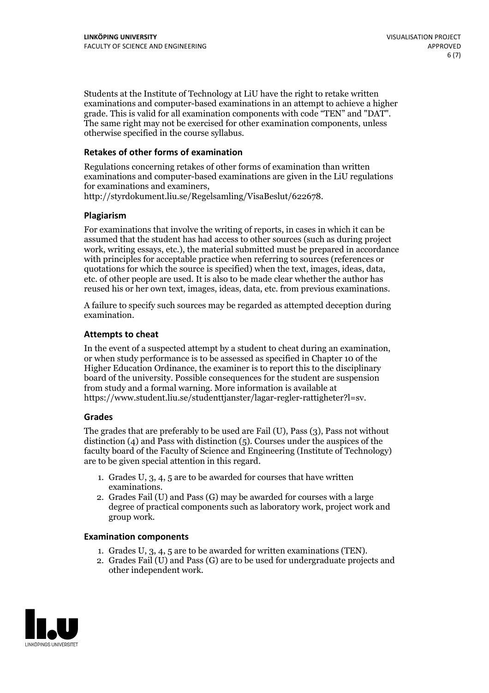Students at the Institute of Technology at LiU have the right to retake written examinations and computer-based examinations in an attempt to achieve a higher grade. This is valid for all examination components with code "TEN" and "DAT". The same right may not be exercised for other examination components, unless otherwise specified in the course syllabus.

### **Retakes of other forms of examination**

Regulations concerning retakes of other forms of examination than written examinations and computer-based examinations are given in the LiU regulations for examinations and examiners, http://styrdokument.liu.se/Regelsamling/VisaBeslut/622678.

#### **Plagiarism**

For examinations that involve the writing of reports, in cases in which it can be assumed that the student has had access to other sources (such as during project work, writing essays, etc.), the material submitted must be prepared in accordance with principles for acceptable practice when referring to sources (references or quotations for which the source is specified) when the text, images, ideas, data, etc. of other people are used. It is also to be made clear whether the author has reused his or her own text, images, ideas, data, etc. from previous examinations.

A failure to specify such sources may be regarded as attempted deception during examination.

#### **Attempts to cheat**

In the event of <sup>a</sup> suspected attempt by <sup>a</sup> student to cheat during an examination, or when study performance is to be assessed as specified in Chapter <sup>10</sup> of the Higher Education Ordinance, the examiner is to report this to the disciplinary board of the university. Possible consequences for the student are suspension from study and a formal warning. More information is available at https://www.student.liu.se/studenttjanster/lagar-regler-rattigheter?l=sv.

#### **Grades**

The grades that are preferably to be used are Fail (U), Pass (3), Pass not without distinction  $(4)$  and Pass with distinction  $(5)$ . Courses under the auspices of the faculty board of the Faculty of Science and Engineering (Institute of Technology) are to be given special attention in this regard.

- 1. Grades U, 3, 4, 5 are to be awarded for courses that have written
- examinations. 2. Grades Fail (U) and Pass (G) may be awarded for courses with <sup>a</sup> large degree of practical components such as laboratory work, project work and group work.

#### **Examination components**

- 
- 1. Grades U, 3, 4, <sup>5</sup> are to be awarded for written examinations (TEN). 2. Grades Fail (U) and Pass (G) are to be used for undergraduate projects and other independent work.